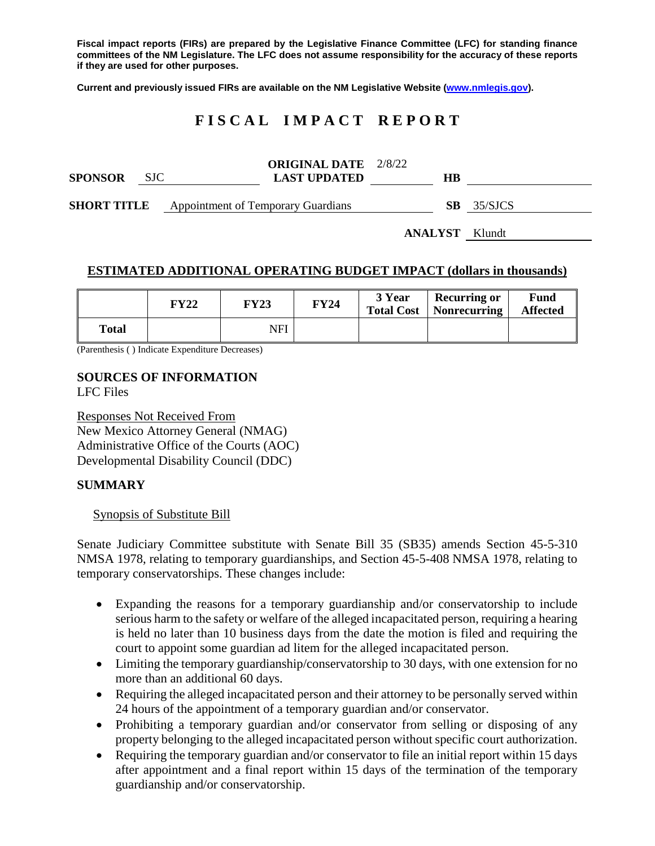**Fiscal impact reports (FIRs) are prepared by the Legislative Finance Committee (LFC) for standing finance committees of the NM Legislature. The LFC does not assume responsibility for the accuracy of these reports if they are used for other purposes.**

**Current and previously issued FIRs are available on the NM Legislative Website [\(www.nmlegis.gov\)](http://www.nmlegis.gov/).**

# **F I S C A L I M P A C T R E P O R T**

| <b>SPONSOR</b>     | SJC. | <b>ORIGINAL DATE</b> 2/8/22<br><b>LAST UPDATED</b> | HВ  |         |
|--------------------|------|----------------------------------------------------|-----|---------|
| <b>SHORT TITLE</b> |      | <b>Appointment of Temporary Guardians</b>          | SB. | 35/SJCS |

**ANALYST** Klundt

# **ESTIMATED ADDITIONAL OPERATING BUDGET IMPACT (dollars in thousands)**

|       | <b>FY22</b> | <b>FY23</b> | <b>FY24</b> | 3 Year<br><b>Total Cost</b> | <b>Recurring or</b><br>Nonrecurring | Fund<br><b>Affected</b> |
|-------|-------------|-------------|-------------|-----------------------------|-------------------------------------|-------------------------|
| Total |             | NFI         |             |                             |                                     |                         |

(Parenthesis ( ) Indicate Expenditure Decreases)

# **SOURCES OF INFORMATION**

LFC Files

Responses Not Received From New Mexico Attorney General (NMAG) Administrative Office of the Courts (AOC) Developmental Disability Council (DDC)

#### **SUMMARY**

#### Synopsis of Substitute Bill

Senate Judiciary Committee substitute with Senate Bill 35 (SB35) amends Section 45-5-310 NMSA 1978, relating to temporary guardianships, and Section 45-5-408 NMSA 1978, relating to temporary conservatorships. These changes include:

- Expanding the reasons for a temporary guardianship and/or conservatorship to include serious harm to the safety or welfare of the alleged incapacitated person, requiring a hearing is held no later than 10 business days from the date the motion is filed and requiring the court to appoint some guardian ad litem for the alleged incapacitated person.
- Limiting the temporary guardianship/conservatorship to 30 days, with one extension for no more than an additional 60 days.
- Requiring the alleged incapacitated person and their attorney to be personally served within 24 hours of the appointment of a temporary guardian and/or conservator.
- Prohibiting a temporary guardian and/or conservator from selling or disposing of any property belonging to the alleged incapacitated person without specific court authorization.
- Requiring the temporary guardian and/or conservator to file an initial report within 15 days after appointment and a final report within 15 days of the termination of the temporary guardianship and/or conservatorship.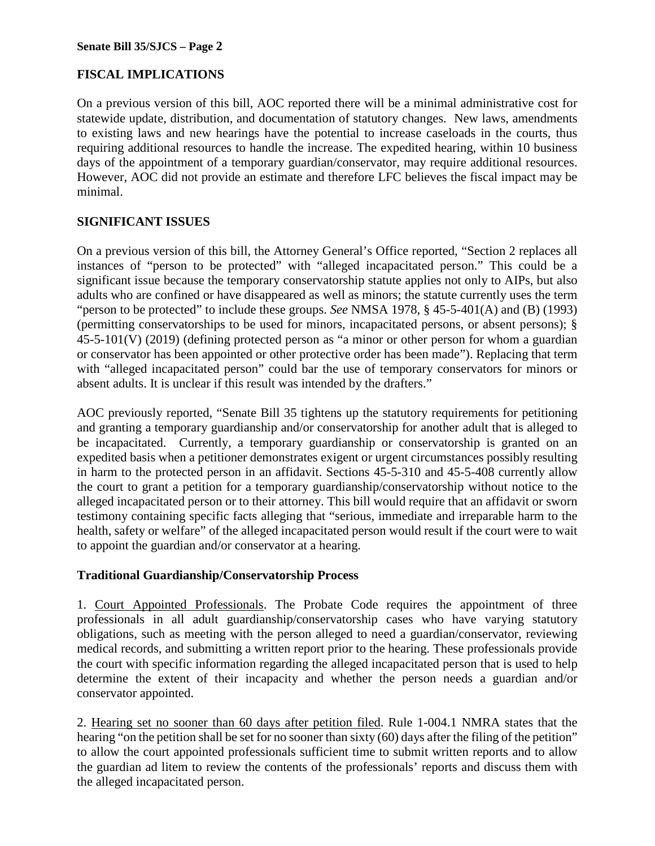# **FISCAL IMPLICATIONS**

On a previous version of this bill, AOC reported there will be a minimal administrative cost for statewide update, distribution, and documentation of statutory changes. New laws, amendments to existing laws and new hearings have the potential to increase caseloads in the courts, thus requiring additional resources to handle the increase. The expedited hearing, within 10 business days of the appointment of a temporary guardian/conservator, may require additional resources. However, AOC did not provide an estimate and therefore LFC believes the fiscal impact may be minimal.

# **SIGNIFICANT ISSUES**

On a previous version of this bill, the Attorney General's Office reported, "Section 2 replaces all instances of "person to be protected" with "alleged incapacitated person." This could be a significant issue because the temporary conservatorship statute applies not only to AIPs, but also adults who are confined or have disappeared as well as minors; the statute currently uses the term "person to be protected" to include these groups. *See* NMSA 1978, § 45-5-401(A) and (B) (1993) (permitting conservatorships to be used for minors, incapacitated persons, or absent persons); §  $45-5-101(V)$  (2019) (defining protected person as "a minor or other person for whom a guardian or conservator has been appointed or other protective order has been made"). Replacing that term with "alleged incapacitated person" could bar the use of temporary conservators for minors or absent adults. It is unclear if this result was intended by the drafters."

AOC previously reported, "Senate Bill 35 tightens up the statutory requirements for petitioning and granting a temporary guardianship and/or conservatorship for another adult that is alleged to be incapacitated. Currently, a temporary guardianship or conservatorship is granted on an expedited basis when a petitioner demonstrates exigent or urgent circumstances possibly resulting in harm to the protected person in an affidavit. Sections 45-5-310 and 45-5-408 currently allow the court to grant a petition for a temporary guardianship/conservatorship without notice to the alleged incapacitated person or to their attorney. This bill would require that an affidavit or sworn testimony containing specific facts alleging that "serious, immediate and irreparable harm to the health, safety or welfare" of the alleged incapacitated person would result if the court were to wait to appoint the guardian and/or conservator at a hearing.

# **Traditional Guardianship/Conservatorship Process**

1. Court Appointed Professionals. The Probate Code requires the appointment of three professionals in all adult guardianship/conservatorship cases who have varying statutory obligations, such as meeting with the person alleged to need a guardian/conservator, reviewing medical records, and submitting a written report prior to the hearing. These professionals provide the court with specific information regarding the alleged incapacitated person that is used to help determine the extent of their incapacity and whether the person needs a guardian and/or conservator appointed.

2. Hearing set no sooner than 60 days after petition filed. Rule 1-004.1 NMRA states that the hearing "on the petition shall be set for no sooner than sixty (60) days after the filing of the petition" to allow the court appointed professionals sufficient time to submit written reports and to allow the guardian ad litem to review the contents of the professionals' reports and discuss them with the alleged incapacitated person.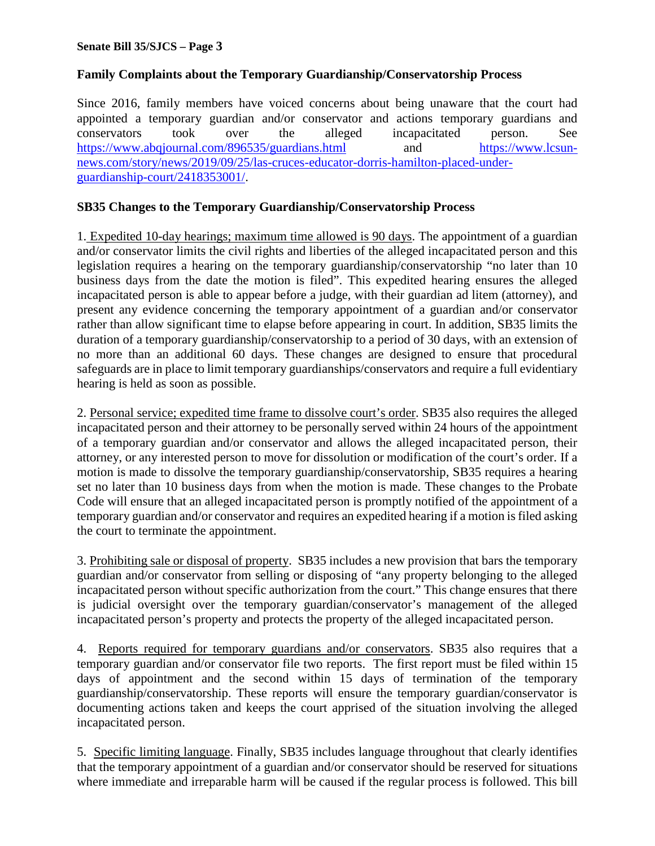### **Family Complaints about the Temporary Guardianship/Conservatorship Process**

Since 2016, family members have voiced concerns about being unaware that the court had appointed a temporary guardian and/or conservator and actions temporary guardians and conservators took over the alleged incapacitated person. See <https://www.abqjournal.com/896535/guardians.html> and [https://www.lcsun](https://www.lcsun-news.com/story/news/2019/09/25/las-cruces-educator-dorris-hamilton-placed-under-guardianship-court/2418353001/)[news.com/story/news/2019/09/25/las-cruces-educator-dorris-hamilton-placed-under](https://www.lcsun-news.com/story/news/2019/09/25/las-cruces-educator-dorris-hamilton-placed-under-guardianship-court/2418353001/)[guardianship-court/2418353001/.](https://www.lcsun-news.com/story/news/2019/09/25/las-cruces-educator-dorris-hamilton-placed-under-guardianship-court/2418353001/)

#### **SB35 Changes to the Temporary Guardianship/Conservatorship Process**

1. Expedited 10-day hearings; maximum time allowed is 90 days. The appointment of a guardian and/or conservator limits the civil rights and liberties of the alleged incapacitated person and this legislation requires a hearing on the temporary guardianship/conservatorship "no later than 10 business days from the date the motion is filed". This expedited hearing ensures the alleged incapacitated person is able to appear before a judge, with their guardian ad litem (attorney), and present any evidence concerning the temporary appointment of a guardian and/or conservator rather than allow significant time to elapse before appearing in court. In addition, SB35 limits the duration of a temporary guardianship/conservatorship to a period of 30 days, with an extension of no more than an additional 60 days. These changes are designed to ensure that procedural safeguards are in place to limit temporary guardianships/conservators and require a full evidentiary hearing is held as soon as possible.

2. Personal service; expedited time frame to dissolve court's order. SB35 also requires the alleged incapacitated person and their attorney to be personally served within 24 hours of the appointment of a temporary guardian and/or conservator and allows the alleged incapacitated person, their attorney, or any interested person to move for dissolution or modification of the court's order. If a motion is made to dissolve the temporary guardianship/conservatorship, SB35 requires a hearing set no later than 10 business days from when the motion is made. These changes to the Probate Code will ensure that an alleged incapacitated person is promptly notified of the appointment of a temporary guardian and/or conservator and requires an expedited hearing if a motion is filed asking the court to terminate the appointment.

3. Prohibiting sale or disposal of property. SB35 includes a new provision that bars the temporary guardian and/or conservator from selling or disposing of "any property belonging to the alleged incapacitated person without specific authorization from the court." This change ensures that there is judicial oversight over the temporary guardian/conservator's management of the alleged incapacitated person's property and protects the property of the alleged incapacitated person.

4. Reports required for temporary guardians and/or conservators. SB35 also requires that a temporary guardian and/or conservator file two reports. The first report must be filed within 15 days of appointment and the second within 15 days of termination of the temporary guardianship/conservatorship. These reports will ensure the temporary guardian/conservator is documenting actions taken and keeps the court apprised of the situation involving the alleged incapacitated person.

5. Specific limiting language. Finally, SB35 includes language throughout that clearly identifies that the temporary appointment of a guardian and/or conservator should be reserved for situations where immediate and irreparable harm will be caused if the regular process is followed. This bill